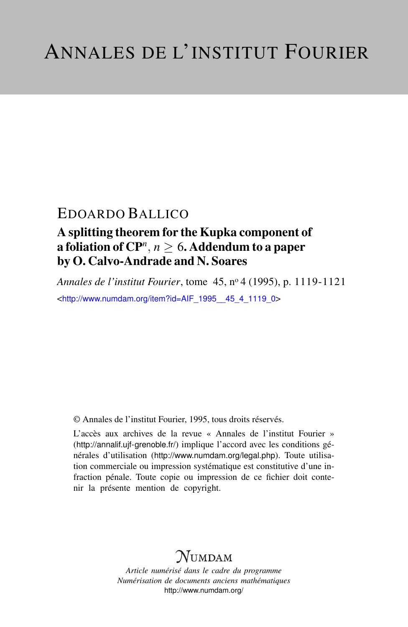## EDOARDO BALLICO

### A splitting theorem for the Kupka component of a foliation of  ${\bf C}{\bf P}^n$ ,  $n\geq 6$ . Addendum to a paper by O. Calvo-Andrade and N. Soares

*Annales de l'institut Fourier*, tome 45, n<sup>o</sup> 4 (1995), p. 1119-1121 <[http://www.numdam.org/item?id=AIF\\_1995\\_\\_45\\_4\\_1119\\_0](http://www.numdam.org/item?id=AIF_1995__45_4_1119_0)>

© Annales de l'institut Fourier, 1995, tous droits réservés.

L'accès aux archives de la revue « Annales de l'institut Fourier » (<http://annalif.ujf-grenoble.fr/>) implique l'accord avec les conditions générales d'utilisation (<http://www.numdam.org/legal.php>). Toute utilisation commerciale ou impression systématique est constitutive d'une infraction pénale. Toute copie ou impression de ce fichier doit contenir la présente mention de copyright.

# NUMDAM

*Article numérisé dans le cadre du programme Numérisation de documents anciens mathématiques* <http://www.numdam.org/>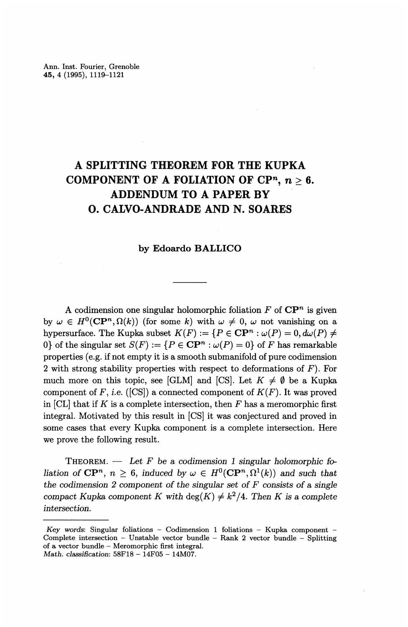### **A SPLITTING THEOREM FOR THE KUPKA COMPONENT OF A FOLIATION OF CP<sup>n</sup>,**  $n > 6$ **. ADDENDUM TO A PAPER BY 0. CALVO-ANDRADE AND N. SOARES**

### **by Edoardo BALLICO**

A codimension one singular holomorphic foliation  $F$  of  $\mathbb{C}P^n$  is given by  $\omega \in H^0(\mathbf{CP}^n, \Omega(k))$  (for some k) with  $\omega \neq 0$ ,  $\omega$  not vanishing on a hypersurface. The Kupka subset  $K(F) := \{P \in \mathbf{CP}^n : \omega(P) = 0, d\omega(P) \neq 0\}$ 0} of the singular set  $S(F) := \{ P \in \mathbf{CP}^n : \omega(P) = 0 \}$  of F has remarkable properties (e.g. if not empty it is a smooth submanifold of pure codimension 2 with strong stability properties with respect to deformations of *F).* For much more on this topic, see [GLM] and [CS]. Let  $K \neq \emptyset$  be a Kupka component of  $F$ , i.e. ([CS]) a connected component of  $K(F)$ . It was proved in  $|CL|$  that if  $K$  is a complete intersection, then  $F$  has a meromorphic first integral. Motivated by this result in [CS] it was conjectured and proved in some cases that every Kupka component is a complete intersection. Here we prove the following result.

THEOREM. — *Let F be a codimension 1 singular holomorphic filiation* of  $\mathbb{CP}^n$ ,  $n \geq 6$ , *induced by*  $\omega \in H^0(\mathbb{CP}^n, \Omega^1(k))$  and such that *the codimension 2 component of the singular set of F consists of a single*  $A$ <sup>2</sup> compact Kupka component K with deg $(K) \neq k^2/4$ . Then K is a complete *intersection.*

*Key words'.* Singular foliations - Codimension 1 foliations - Kupka component - Complete intersection - Unstable vector bundle - Rank 2 vector bundle - Splitting of a vector bundle — Meromorphic first integral. *Math. classification:* 58F18 - 14F05 - 14M07.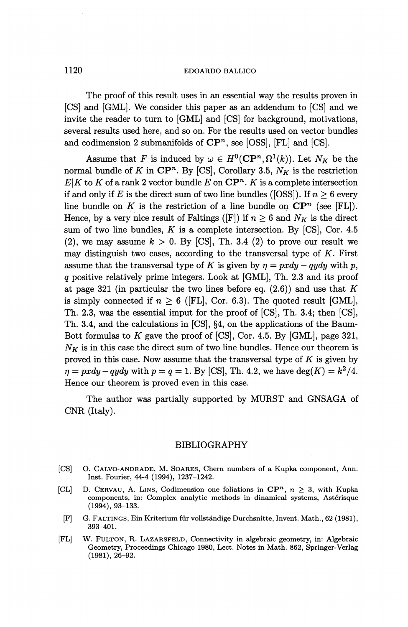#### 1120 EDOARDO BALLICO

The proof of this result uses in an essential way the results proven in [CS] and [GML]. We consider this paper as an addendum to [CS] and we invite the reader to turn to [GML] and [CS] for background, motivations, several results used here, and so on. For the results used on vector bundles and codimension 2 submanifolds of  $\mathbb{CP}^n$ , see [OSS], [FL] and [CS].

Assume that *F* is induced by  $\omega \in H^0(\mathbb{CP}^n, \Omega^1(k))$ . Let  $N_K$  be the normal bundle of K in  $\mathbb{CP}^n$ . By [CS], Corollary 3.5,  $N_K$  is the restriction  $E|K$  to  $K$  of a rank 2 vector bundle  $E$  on  $\mathbb{CP}^n$ .  $K$  is a complete intersection if and only if *E* is the direct sum of two line bundles ([OSS]). If  $n \geq 6$  every line bundle on  $K$  is the restriction of a line bundle on  $\mathbb{CP}^n$  (see [FL]). Hence, by a very nice result of Faltings ([F]) if  $n \geq 6$  and  $N_K$  is the direct sum of two line bundles,  $K$  is a complete intersection. By  $[CS]$ , Cor. 4.5 (2), we may assume  $k > 0$ . By [CS], Th. 3.4 (2) to prove our result we may distinguish two cases, according to the transversal type of *K.* First assume that the transversal type of *K* is given by  $\eta = pxdy - qydy$  with p, *q* positive relatively prime integers. Look at [GML], Th. 2.3 and its proof at page 321 (in particular the two lines before eq. (2.6)) and use that *K* is simply connected if  $n \geq 6$  ([FL], Cor. 6.3). The quoted result [GML], Th. 2.3, was the essential imput for the proof of [CS], Th. 3.4; then [CS], Th. 3.4, and the calculations in [CS], §4, on the applications of the Baum-Bott formulas to *K* gave the proof of [CS], Cor. 4.5. By [GML], page 321,  $N_K$  is in this case the direct sum of two line bundles. Hence our theorem is proved in this case. Now assume that the transversal type of *K* is given by proved in this case. Now assume that the transversal type of K is given by  $\eta = pxdy - qydy$  with  $p = q = 1$ . By [CS], Th. 4.2, we have  $\deg(K) = k^2/4$ . Hence our theorem is proved even in this case.

The author was partially supported by MURST and GNSAGA of CNR (Italy).

#### BIBLIOGRAPHY

- [CS] O. CALVO-ANDRADE, M. SOARES, Chern numbers of a Kupka component, Ann. Inst. Fourier, 44-4 (1994), 1237-1242.
- [CL] D. CERVAU, A. LINS, Codimension one foliations in  $\mathbb{CP}^n$ ,  $n \geq 3$ , with Kupka components, in: Complex analytic methods in dinamical systems, Asterisque (1994), 93-133.
- [F] G. FALTINGS, Ein Kriterium fur vollstandige Durchsnitte, Invent. Math., 62 (1981), 393-401.
- [FL] W. FULTON, R. LAZARSFELD, Connectivity in algebraic geometry, in: Algebraic Geometry, Proceedings Chicago 1980, Lect. Notes in Math. 862, Springer-Verlag  $(1981), 26 - 92.$